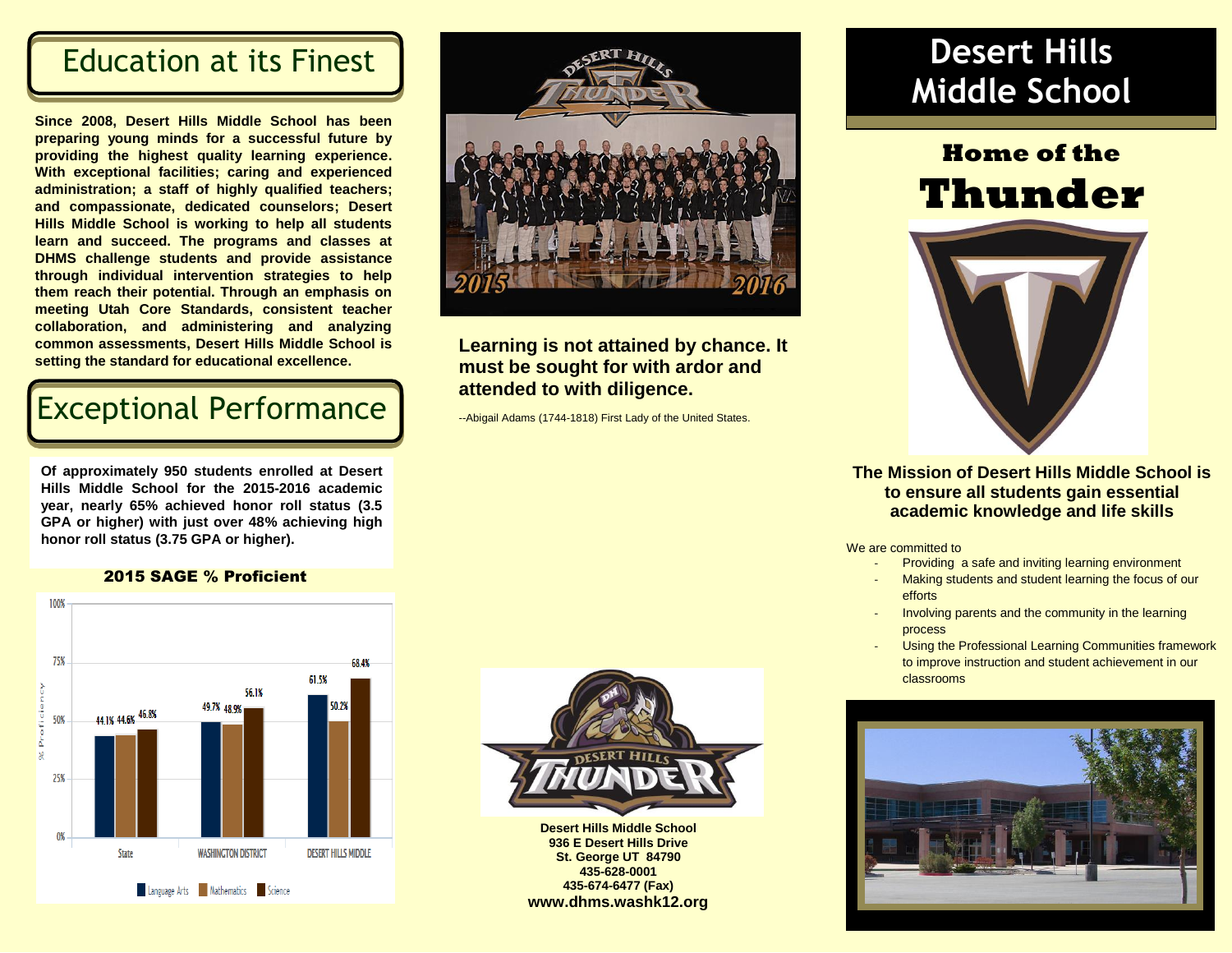### Education at its Finest

**Since 2008, Desert Hills Middle School has been preparing young minds for a successful future by providing the highest quality learning experience. With exceptional facilities; caring and experienced administration; a staff of highly qualified teachers; and compassionate, dedicated counselors; Desert Hills Middle School is working to help all students learn and succeed. The programs and classes at DHMS challenge students and provide assistance through individual intervention strategies to help them reach their potential. Through an emphasis on meeting Utah Core Standards, consistent teacher collaboration, and administering and analyzing common assessments, Desert Hills Middle School is setting the standard for educational excellence.** 

## Exceptional Performance

**Of approximately 950 students enrolled at Desert Hills Middle School for the 2015-2016 academic year, nearly 65% achieved honor roll status (3.5 GPA or higher) with just over 48% achieving high honor roll status (3.75 GPA or higher).**





### **Learning is not attained by chance. It must be sought for with ardor and attended to with diligence.**

[--Abigail Adams](http://en.proverbia.net/citasautor.asp?autor=10024) (1744-1818) First Lady of the United States.

## **Desert Hills Middle School**

# **Home of the Thunder**



#### **The Mission of Desert Hills Middle School is to ensure all students gain essential academic knowledge and life skills**

We are committed to

- Providing a safe and inviting learning environment
- Making students and student learning the focus of our efforts
- Involving parents and the community in the learning process
- Using the Professional Learning Communities framework to improve instruction and student achievement in our classrooms





**Desert Hills Middle School 936 E Desert Hills Drive St. George UT 84790 435-628-0001 435-674-6477 (Fax) www.dhms.washk12.org**